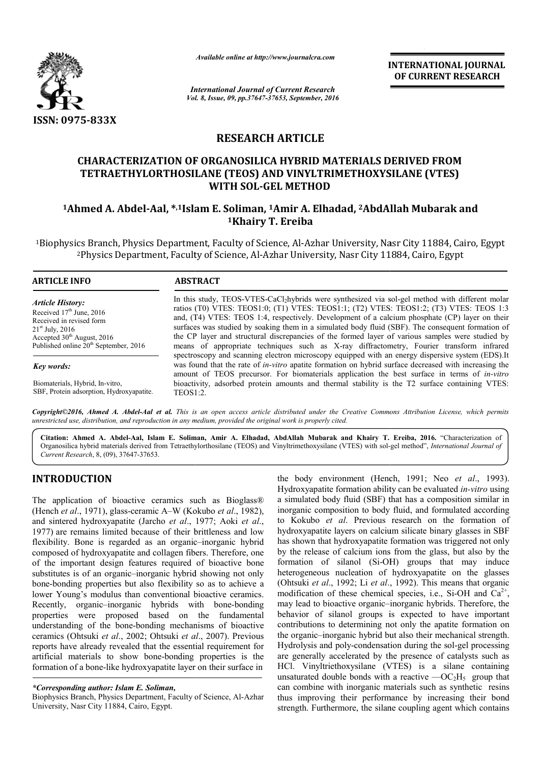

*Available online at http://www.journalcra.com*

INTERNATIONAL JOURNAL OF CURRENT RESEARCH

*International Journal of Current Research Vol. 8, Issue, 09, pp.37647-37653, September, 2016*

# RESEARCH ARTICLE

# CHARACTERIZATION OF ORGANOSILICA HYBRID MATERIALS DERIVED FROM TETRAETHYLORTHOSILANE (TEOS) AND VINYLTRIMETHOXYSILANE (VTES) CHARACTERIZATION OF ORGANOSILICA HYBRID MATERIALS DERIVED FROM<br>TETRAETHYLORTHOSILANE (TEOS) AND VINYLTRIMETHOXYSILANE (VTES)<br>WITH SOL-GEL METHOD<br><sup>1</sup>Ahmed A. Abdel-Aal, \*<sup>,1</sup>Islam E. Soliman, <sup>1</sup>Amir A. Elhadad, <sup>2</sup>AbdAllah WITH SOL-GEL METHOD

# 1Khairy T. Ereiba

<sup>1</sup>Biophysics Branch, Physics Department, Faculty of Science, Al-Azhar University, Nasr City 11884, Cairo, Egypt cs Branch, Physics Department, Faculty of Science, Al-Azhar University, Nasr City 11884, Ca<br><sup>2</sup>Physics Department, Faculty of Science, Al-Azhar University, Nasr City 11884, Cairo, Egypt

 $\overline{a}$ 

| <b>ARTICLE INFO</b> |  |
|---------------------|--|
|---------------------|--|

#### **ABSTRACT**

*Article History:* Received 17<sup>th</sup> June, 2016 Received in revised form  $21<sup>st</sup>$  July,  $2016$ Accepted 30<sup>th</sup> August, 2016 Published online 20<sup>th</sup> September, 2016

*Key words:*

Biomaterials, Hybrid, In-vitro, SBF, Protein adsorption, Hydroxyapatite.

In this study, TEOS-VTES-CaCl2hybrids were synthesized via sol-gel method with different molar ratios (T0) VTES: TEOS1:0; (T1) VTES: TEOS1:1; (T2) VTES: TEOS1:2; (T3) VTES: TEOS 1:3 and, (T4) VTES: TEOS 1:4, respectively. Development of a calcium phosphate (CP) layer on their surfaces was studied by soaking them in a simulated body fluid (SBF). The consequent formation of the CP layer and structural discrepancies of the formed layer of various samples were studied by means of appropriate techniques such as X X-ray diffractometry, Fourier spectroscopy and scanning electron microscopy equipped with an energy dispersive system (EDS).It was found that the rate of *in-vitro* apatite formation on hybrid surface decreased with increasing the amount of TEOS precursor. For biomaterials application the best surface in terms of bioactivity, adsorbed protein amounts and thermal stability is the T2 surface containing VTES: TEOS1:2. ratios (T0) VTES: TEOS1:0; (T1) VTES: TEOS1:1; (T2) VTES: TEOS1:2; (T3) VTES: TEOS 1:3<br>and, (T4) VTES: TEOS 1:4, respectively. Development of a calcium phosphate (CP) layer on their<br>surfaces was studied by soaking them in scopy equipped with an energy dispersive system (EDS).It formation on hybrid surface decreased with increasing the verials application the best surface in terms of *in-vitro* 

*Copyright©2016, Ahmed A. Abdel-Aal et al. This is an open access article distributed under the Creative Commons Att Attribution License, which permits unrestricted use, distribution, and reproduction in any medium, provided the original work is properly cited.*

Citation: Ahmed A. Abdel-Aal, Islam E. Soliman, Amir A. Elhadad, AbdAllah Mubarak and Khairy T. Ereiba, 2016. "Characterization of Organosilica hybrid materials derived from Tetraethylorthosilane (TEOS) and Vinyltrimethoxysilane (VTES) with sol-gel method", *International Journal of Current Research*, 8, (09), 37647-37653.

# INTRODUCTION

The application of bioactive ceramics such as Bioglass® (Hench *et al.*, 1971), glass-ceramic A–W (Kokubo *et al.*, 1982), and sintered hydroxyapatite (Jarcho *et al*., 1977; Aoki *et al*., 1977) are remains limited because of their brittleness and low flexibility. Bone is regarded as an organic-inorganic hybrid composed of hydroxyapatite and collagen fibers. Therefore, one of the important design features required of bioactive bone substitutes is of an organic–inorganic hybrid showing not only bone-bonding properties but also flexibility so as to achieve a lower Young's modulus than conventional bioactive ceramics. Recently, organic–inorganic hybrids with bone-bonding properties were proposed based on the fundamental understanding of the bone-bonding mechanisms of bioactive understanding of the bone-bonding mechanisms of bioactive ceramics (Ohtsuki *et al.*, 2002; Ohtsuki *et al.*, 2007). Previous reports have already revealed that the essential requirement for artificial materials to show bone-bonding properties is the formation of a bone-like hydroxyapatite layer on their surface in formation of a bone-like hydroxyapatite layer on their surface in<br>
\*Corresponding author: Islam E. Soliman,<br>
Biophysics Branch, Physics Department, Faculty of Science, Al-Azhar tutes is of an organic-inorganic hybrid showing not only<br>bonding properties but also flexibility so as to achieve a<br>Young's modulus than conventional bioactive ceramics.<br>tily, organic-inorganic hybrids with bone-bonding

University, Nasr City 11884, Cairo, Egypt.

the body environment (Hench, 1991; Neo et al., 1993). Hydroxyapatite formation ability can be evaluated in-vitro using a simulated body fluid (SBF) that has a composition similar in inorganic composition to body fluid, and formulated according inorganic composition to body fluid, and formulated according<br>to Kokubo *et al.* Previous research on the formation of hydroxyapatite layers on calcium silicate binary glasses in SBF has shown that hydroxyapatite formation was triggered not only by the release of calcium ions from the glass, but also by the formation of silanol (Si-OH) groups that may heterogeneous nucleation of hydroxyapatite on the glasses (Ohtsuki *et al*., 1992; Li *et al*., 1992). This means that organic modification of these chemical species, i.e., Si-OH and  $Ca^{2+}$ , may lead to bioactive organic–inorganic hybrids. Therefore, the behavior of silanol groups is expected to have important contributions to determining not only the apatite formation on the organic–inorganic hybrid but also their mechanical strength. Hydrolysis and poly-condensation during the sol-gel processing are generally accelerated by the presence of catalysts such as HCl. Vinyltriethoxysilane (VTES) is a silane containing unsaturated double bonds with a reactive  $-OC<sub>2</sub>H<sub>5</sub>$  group that can combine with inorganic materials such as synthetic resins thus improving their performance by increasing their bond strength. Furthermore, the silane coupling agent which contains inclum silicate binary glasses in SBF<br>te formation was triggered not only<br>ns from the glass, but also by the<br>OH) groups that may induce bioactive organic-inorganic hybrids. Therefore, the<br>is silanol groups is expected to have important<br>s to determining not only the apatite formation on<br>inorganic hybrid but also their mechanical strength.<br>ind poly-condensat erally accelerated by the presence of catalysts such as<br>Vinyltriethoxysilane (VTES) is a silane containing ated double bonds with a reactive  $-OC_2H_5$  group that **INTERNATIONAL JOURNAL (OF COURNEM AT COURNAL AT THE CONDUCT THE CONDUCT THE CONDUCT THE CONDUCT THE CONDUCT THE CONDUCT THE CONDUCT THE CONDUCT THE CONDUCT THE CONDUCT THE CONDUCT THE CONDUCT THE CONDUCT THE CONDUCT THE** 

*<sup>\*</sup>Corresponding author: Islam E. Soliman,*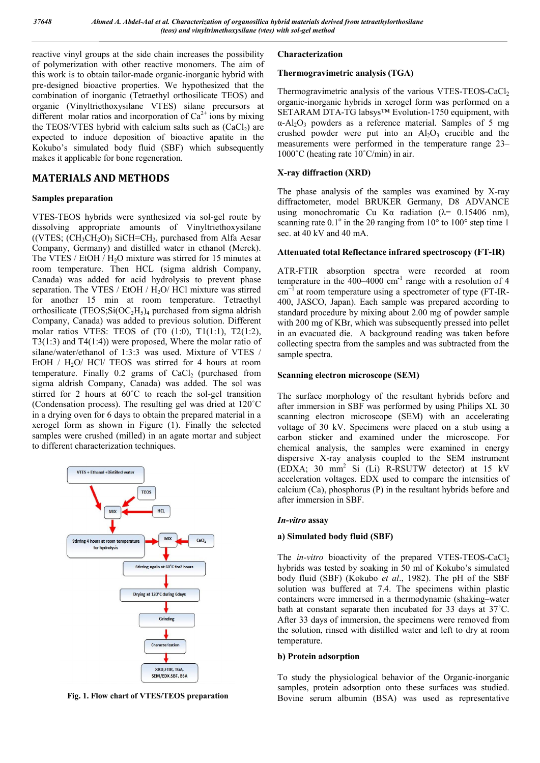reactive vinyl groups at the side chain increases the possibility of polymerization with other reactive monomers. The aim of this work is to obtain tailor-made organic-inorganic hybrid with pre-designed bioactive properties. We hypothesized that the combination of inorganic (Tetraethyl orthosilicate TEOS) and organic (Vinyltriethoxysilane VTES) silane precursors at different molar ratios and incorporation of  $Ca^{2+}$  ions by mixing the TEOS/VTES hybrid with calcium salts such as  $(CaCl<sub>2</sub>)$  are expected to induce deposition of bioactive apatite in the Kokubo's simulated body fluid (SBF) which subsequently makes it applicable for bone regeneration.

# MATERIALS AND METHODS

## Samples preparation

VTES-TEOS hybrids were synthesized via sol-gel route by dissolving appropriate amounts of Vinyltriethoxysilane  $((VTES; (CH<sub>3</sub>CH<sub>2</sub>O)<sub>3</sub> SiCH=CH<sub>2</sub>, purchased from Alfa Aesar)$ Company, Germany) and distilled water in ethanol (Merck). The VTES / EtOH / H<sub>2</sub>O mixture was stirred for 15 minutes at room temperature. Then HCL (sigma aldrish Company, Canada) was added for acid hydrolysis to prevent phase separation. The VTES / EtOH / H<sub>2</sub>O/ HCl mixture was stirred for another 15 min at room temperature. Tetraethyl orthosilicate (TEOS;Si( $OC<sub>2</sub>H<sub>5</sub>$ )<sub>4</sub> purchased from sigma aldrish Company, Canada) was added to previous solution. Different molar ratios VTES: TEOS of (T0 (1:0), T1(1:1), T2(1:2), T3(1:3) and T4(1:4)) were proposed, Where the molar ratio of silane/water/ethanol of 1:3:3 was used. Mixture of VTES / EtOH  $/$  H<sub>2</sub>O $/$  HCl $/$  TEOS was stirred for 4 hours at room temperature. Finally  $0.2$  grams of CaCl<sub>2</sub> (purchased from sigma aldrish Company, Canada) was added. The sol was stirred for 2 hours at 60°C to reach the sol-gel transition (Condensation process). The resulting gel was dried at 120˚C in a drying oven for 6 days to obtain the prepared material in a xerogel form as shown in Figure (1). Finally the selected samples were crushed (milled) in an agate mortar and subject to different characterization techniques.



Fig. 1. Flow chart of VTES/TEOS preparation

# Characterization

### Thermogravimetric analysis (TGA)

Thermogravimetric analysis of the various VTES-TEOS-CaCl<sub>2</sub> organic-inorganic hybrids in xerogel form was performed on a SETARAM DTA-TG labsys™ Evolution-1750 equipment, with  $\alpha$ -Al<sub>2</sub>O<sub>3</sub> powders as a reference material. Samples of 5 mg crushed powder were put into an  $Al_2O_3$  crucible and the measurements were performed in the temperature range 23– 1000˚C (heating rate 10˚C/min) in air.

# X-ray diffraction (XRD)

The phase analysis of the samples was examined by X-ray diffractometer, model BRUKER Germany, D8 ADVANCE using monochromatic Cu K $\alpha$  radiation ( $\lambda$ = 0.15406 nm), scanning rate  $0.1^{\circ}$  in the 20 ranging from  $10^{\circ}$  to  $100^{\circ}$  step time 1 sec. at 40 kV and 40 mA.

#### Attenuated total Reflectance infrared spectroscopy (FT-IR)

ATR-FTIR absorption spectra were recorded at room temperature in the  $400-4000$  cm<sup>-1</sup> range with a resolution of 4 cm<sup>-1</sup> at room temperature using a spectrometer of type (FT-IR-400, JASCO, Japan). Each sample was prepared according to standard procedure by mixing about 2.00 mg of powder sample with 200 mg of KBr, which was subsequently pressed into pellet in an evacuated die. A background reading was taken before collecting spectra from the samples and was subtracted from the sample spectra.

#### Scanning electron microscope (SEM)

The surface morphology of the resultant hybrids before and after immersion in SBF was performed by using Philips XL 30 scanning electron microscope (SEM) with an accelerating voltage of 30 kV. Specimens were placed on a stub using a carbon sticker and examined under the microscope. For chemical analysis, the samples were examined in energy dispersive X-ray analysis coupled to the SEM instrument (EDXA; 30 mm2 Si (Li) R-RSUTW detector) at 15 kV acceleration voltages. EDX used to compare the intensities of calcium (Ca), phosphorus (P) in the resultant hybrids before and after immersion in SBF.

#### *In-vitro* assay

#### a) Simulated body fluid (SBF)

The *in-vitro* bioactivity of the prepared VTES-TEOS-CaCl<sub>2</sub> hybrids was tested by soaking in 50 ml of Kokubo's simulated body fluid (SBF) (Kokubo *et al*., 1982). The pH of the SBF solution was buffered at 7.4. The specimens within plastic containers were immersed in a thermodynamic (shaking–water bath at constant separate then incubated for 33 days at 37˚C. After 33 days of immersion, the specimens were removed from the solution, rinsed with distilled water and left to dry at room temperature.

#### b) Protein adsorption

To study the physiological behavior of the Organic-inorganic samples, protein adsorption onto these surfaces was studied. Bovine serum albumin (BSA) was used as representative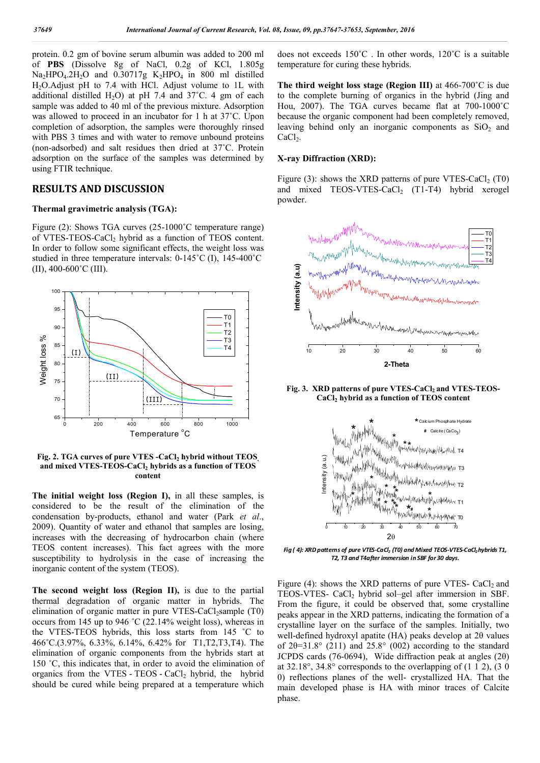protein. 0.2 gm of bovine serum albumin was added to 200 ml of PBS (Dissolve 8g of NaCl, 0.2g of KCl, 1.805g  $Na<sub>2</sub>HPO<sub>4</sub>$ .2H<sub>2</sub>O and  $0.30717g$  K<sub>2</sub>HPO<sub>4</sub> in 800 ml distilled H2O.Adjust pH to 7.4 with HCl. Adjust volume to 1L with additional distilled H<sub>2</sub>O) at pH 7.4 and 37 $^{\circ}$ C. 4 gm of each sample was added to 40 ml of the previous mixture. Adsorption was allowed to proceed in an incubator for 1 h at 37˚C. Upon completion of adsorption, the samples were thoroughly rinsed with PBS 3 times and with water to remove unbound proteins (non-adsorbed) and salt residues then dried at 37˚C. Protein adsorption on the surface of the samples was determined by using FTIR technique.

# RESULTS AND DISCUSSION

#### Thermal gravimetric analysis (TGA):

Figure (2): Shows TGA curves (25-1000˚C temperature range) of VTES-TEOS-CaCl<sub>2</sub> hybrid as a function of TEOS content. In order to follow some significant effects, the weight loss was studied in three temperature intervals: 0-145˚C (I), 145-400˚C  $(II)$ , 400-600 $^{\circ}$ C $(III)$ .



Fig. 2. TGA curves of pure VTES -CaCl, hybrid without TEOS and mixed VTES-TEOS-CaCl<sub>2</sub> hybrids as a function of TEOS content

The initial weight loss (Region I), in all these samples, is considered to be the result of the elimination of the condensation by-products, ethanol and water (Park *et al*., 2009). Quantity of water and ethanol that samples are losing, increases with the decreasing of hydrocarbon chain (where TEOS content increases). This fact agrees with the more susceptibility to hydrolysis in the case of increasing the inorganic content of the system (TEOS).

The second weight loss (Region II), is due to the partial thermal degradation of organic matter in hybrids. The elimination of organic matter in pure VTES-CaCl<sub>2</sub>sample (T0) occurs from 145 up to 946 ˚C (22.14% weight loss), whereas in the VTES-TEOS hybrids, this loss starts from 145 ˚C to 466˚C.(3.97%, 6.33%, 6.14%, 6.42% for T1,T2,T3,T4). The elimination of organic components from the hybrids start at 150 ˚C, this indicates that, in order to avoid the elimination of organics from the VTES - TEOS - CaCl<sub>2</sub> hybrid, the hybrid should be cured while being prepared at a temperature which

does not exceeds 150˚C . In other words, 120˚C is a suitable temperature for curing these hybrids.

The third weight loss stage (Region III) at 466-700˚C is due to the complete burning of organics in the hybrid (Jing and Hou, 2007). The TGA curves became flat at 700-1000˚C because the organic component had been completely removed, leaving behind only an inorganic components as  $SiO<sub>2</sub>$  and  $CaCl<sub>2</sub>$ .

#### X-ray Diffraction (XRD):

Figure (3): shows the XRD patterns of pure VTES-CaCl<sub>2</sub> (T0) and mixed TEOS-VTES-CaCl<sub>2</sub> (T1-T4) hybrid xerogel powder.



Fig. 3. XRD patterns of pure VTES-CaCl<sub>2</sub> and VTES-TEOS- $CaCl<sub>2</sub>$  hybrid as a function of TEOS content



*Fig ( 4): XRD patterns of pure VTES-CaCl<sub>2</sub> (T0) and Mixed TEOS-VTES-CaCl<sub>2</sub> hybrids T1. T2, T3 and T4after immersion in SBF for 30 days.*

Figure (4): shows the XRD patterns of pure VTES-  $CaCl<sub>2</sub>$  and TEOS-VTES-  $CaCl<sub>2</sub>$  hybrid sol–gel after immersion in SBF. From the figure, it could be observed that, some crystalline peaks appear in the XRD patterns, indicating the formation of a crystalline layer on the surface of the samples. Initially, two well-defined hydroxyl apatite (HA) peaks develop at 2θ values of  $2\theta = 31.8^\circ$  (211) and  $25.8^\circ$  (002) according to the standard JCPDS cards (76-0694), Wide diffraction peak at angles (2θ) at  $32.18^\circ$ ,  $34.8^\circ$  corresponds to the overlapping of  $(1\ 1\ 2)$ ,  $(3\ 0\ 1\ 1\ 2)$ 0) reflections planes of the well- crystallized HA. That the main developed phase is HA with minor traces of Calcite phase.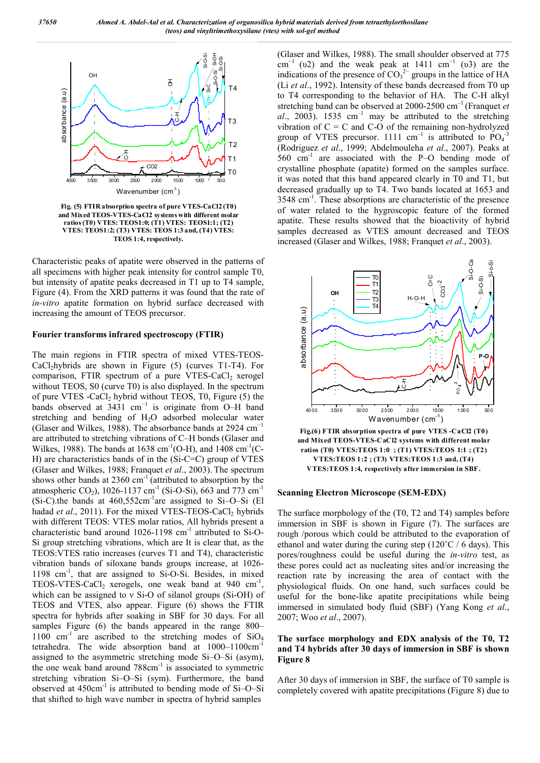

Fig. (5) FTIR absorption spectra of pure VTES-CaCl2 (T0) and Mixed TEOS-VTES-CaCl2 systems with different molar ratios (T0) VTES: TEOS1:0; (T1) VTES: TEOS1:1; (T2) VTES: TEOS1:2; (T3) VTES: TEOS 1:3 and, (T4) VTES: TEOS 1:4, respectively.

Characteristic peaks of apatite were observed in the patterns of all specimens with higher peak intensity for control sample T0, but intensity of apatite peaks decreased in T1 up to T4 sample, Figure (4). From the XRD patterns it was found that the rate of *in-vitro* apatite formation on hybrid surface decreased with increasing the amount of TEOS precursor.

#### Fourier transforms infrared spectroscopy (FTIR)

The main regions in FTIR spectra of mixed VTES-TEOS- $CaCl<sub>2</sub>hybrids$  are shown in Figure (5) (curves T1-T4). For comparison, FTIR spectrum of a pure VTES-CaCl<sub>2</sub> xerogel without TEOS, S0 (curve T0) is also displayed. In the spectrum of pure VTES -CaCl, hybrid without TEOS, T0, Figure (5) the bands observed at 3431 cm<sup>-1</sup> is originate from O–H band stretching and bending of H2O adsorbed molecular water (Glaser and Wilkes, 1988). The absorbance bands at 2924 cm−1 are attributed to stretching vibrations of C–H bonds (Glaser and Wilkes, 1988). The bands at 1638 cm<sup>-1</sup>(O-H), and 1408 cm<sup>-1</sup>(C-H) are characteristics bands of in the (Si-C=C) group of VTES (Glaser and Wilkes, 1988; Franquet *et al*., 2003). The spectrum shows other bands at  $2360 \text{ cm}^{-1}$  (attributed to absorption by the atmospheric CO<sub>2</sub>), 1026-1137 cm<sup>-1</sup> (Si-O-Si), 663 and 773 cm<sup>-1</sup>  $(Si-C)$ .the bands at 460,552cm<sup>-1</sup>are assigned to Si-O-Si (El hadad *et al.*, 2011). For the mixed VTES-TEOS-CaCl<sub>2</sub> hybrids with different TEOS: VTES molar ratios, All hybrids present a characteristic band around  $1026-1198$  cm<sup>-1</sup> attributed to Si-O-Si group stretching vibrations, which are It is clear that, as the TEOS:VTES ratio increases (curves T1 and T4), characteristic vibration bands of siloxane bands groups increase, at 1026- 1198 cm<sup>-1</sup>, that are assigned to Si-O-Si. Besides, in mixed TEOS-VTES-CaCl<sub>2</sub> xerogels, one weak band at  $940 \text{ cm}^{-1}$ , which can be assigned to ν Si-O of silanol groups (Si-OH) of TEOS and VTES, also appear. Figure (6) shows the FTIR spectra for hybrids after soaking in SBF for 30 days. For all samples Figure (6) the bands appeared in the range 800– 1100  $cm^{-1}$  are ascribed to the stretching modes of SiO<sub>4</sub> tetrahedra. The wide absorption band at 1000-1100cm assigned to the asymmetric stretching mode Si–O–Si (asym), the one weak band around  $788 \text{cm}^{-1}$  is associated to symmetric stretching vibration Si–O–Si (sym). Furthermore, the band observed at  $450 \text{cm}^{-1}$  is attributed to bending mode of Si-O–Si that shifted to high wave number in spectra of hybrid samples

(Glaser and Wilkes, 1988). The small shoulder observed at 775 cm<sup>-1</sup> (υ2) and the weak peak at 1411 cm<sup>-1</sup> (υ3) are the indications of the presence of  $CO<sub>3</sub><sup>2−</sup>$  groups in the lattice of HA (Li *et al*., 1992). Intensity of these bands decreased from T0 up to T4 corresponding to the behavior of HA. The C-H alkyl stretching band can be observed at 2000-2500 cm–1 (Franquet *et*   $al$ , 2003). 1535 cm<sup>-1</sup> may be attributed to the stretching vibration of  $C = C$  and  $C - O$  of the remaining non-hydrolyzed group of VTES precursor. 1111  $\text{cm}^{-1}$  is attributed to  $\text{PO}_4^{-3}$ (Rodriguez *et al*., 1999; Abdelmouleha *et al*., 2007). Peaks at  $560 \text{ cm}^{-1}$  are associated with the P–O bending mode of crystalline phosphate (apatite) formed on the samples surface. it was noted that this band appeared clearly in T0 and T1, but decreased gradually up to T4. Two bands located at 1653 and 3548 cm-1 . These absorptions are characteristic of the presence of water related to the hygroscopic feature of the formed apatite. These results showed that the bioactivity of hybrid samples decreased as VTES amount decreased and TEOS increased (Glaser and Wilkes, 1988; Franquet *et al*., 2003).



#### Scanning Electron Microscope (SEM-EDX)

The surface morphology of the (T0, T2 and T4) samples before immersion in SBF is shown in Figure (7). The surfaces are rough /porous which could be attributed to the evaporation of ethanol and water during the curing step  $(120^{\circ}C / 6$  days). This pores/roughness could be useful during the *in-vitro* test, as these pores could act as nucleating sites and/or increasing the reaction rate by increasing the area of contact with the physiological fluids. On one hand, such surfaces could be useful for the bone-like apatite precipitations while being immersed in simulated body fluid (SBF) (Yang Kong *et al*., 2007; Woo *et al*., 2007).

#### The surface morphology and EDX analysis of the T0, T2 and T4 hybrids after 30 days of immersion in SBF is shown Figure 8

After 30 days of immersion in SBF, the surface of T0 sample is completely covered with apatite precipitations (Figure 8) due to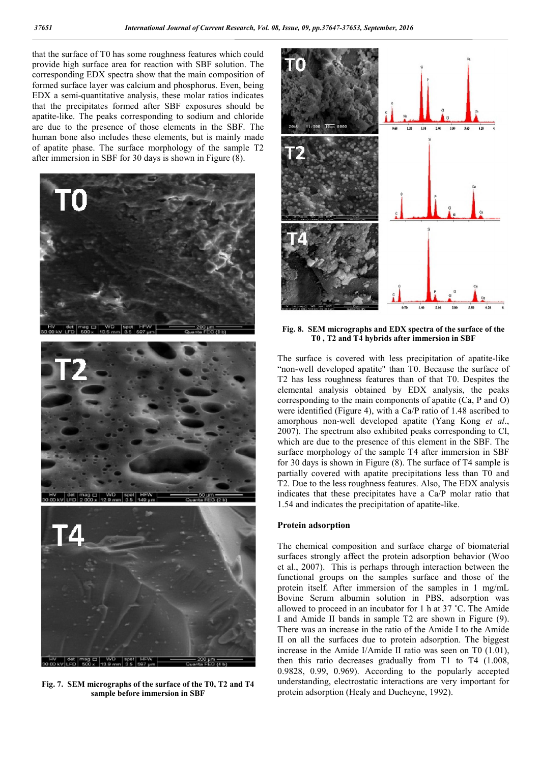that the surface of T0 has some roughness features which could provide high surface area for reaction with SBF solution. The corresponding EDX spectra show that the main composition of formed surface layer was calcium and phosphorus. Even, being EDX a semi-quantitative analysis, these molar ratios indicates that the precipitates formed after SBF exposures should be apatite-like. The peaks corresponding to sodium and chloride are due to the presence of those elements in the SBF. The human bone also includes these elements, but is mainly made of apatite phase. The surface morphology of the sample T2 after immersion in SBF for 30 days is shown in Figure (8).



Fig. 7. SEM micrographs of the surface of the T0, T2 and T4 sample before immersion in SBF



Fig. 8. SEM micrographs and EDX spectra of the surface of the T0 , T2 and T4 hybrids after immersion in SBF

The surface is covered with less precipitation of apatite-like "non-well developed apatite" than T0. Because the surface of T2 has less roughness features than of that T0. Despites the elemental analysis obtained by EDX analysis, the peaks corresponding to the main components of apatite (Ca, P and O) were identified (Figure 4), with a Ca/P ratio of 1.48 ascribed to amorphous non-well developed apatite (Yang Kong *et al*., 2007). The spectrum also exhibited peaks corresponding to Cl, which are due to the presence of this element in the SBF. The surface morphology of the sample T4 after immersion in SBF for 30 days is shown in Figure (8). The surface of T4 sample is partially covered with apatite precipitations less than T0 and T2. Due to the less roughness features. Also, The EDX analysis indicates that these precipitates have a Ca/P molar ratio that 1.54 and indicates the precipitation of apatite-like.

#### Protein adsorption

The chemical composition and surface charge of biomaterial surfaces strongly affect the protein adsorption behavior (Woo et al., 2007). This is perhaps through interaction between the functional groups on the samples surface and those of the protein itself. After immersion of the samples in 1 mg/mL Bovine Serum albumin solution in PBS, adsorption was allowed to proceed in an incubator for 1 h at 37 ˚C. The Amide I and Amide II bands in sample T2 are shown in Figure (9). There was an increase in the ratio of the Amide I to the Amide II on all the surfaces due to protein adsorption. The biggest increase in the Amide I/Amide II ratio was seen on T0 (1.01), then this ratio decreases gradually from T1 to T4 (1.008, 0.9828, 0.99, 0.969). According to the popularly accepted understanding, electrostatic interactions are very important for protein adsorption (Healy and Ducheyne, 1992).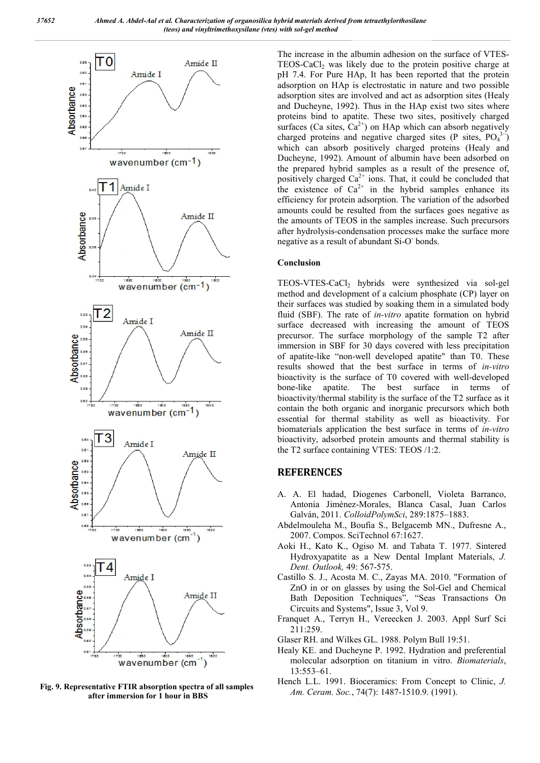

Fig. 9. Representative FTIR absorption spectra of all samples after immersion for 1 hour in BBS

The increase in the albumin adhesion on the surface of VTES-TEOS-CaCl<sub>2</sub> was likely due to the protein positive charge at pH 7.4. For Pure HAp, It has been reported that the protein adsorption on HAp is electrostatic in nature and two possible adsorption sites are involved and act as adsorption sites (Healy and Ducheyne, 1992). Thus in the HAp exist two sites where proteins bind to apatite. These two sites, positively charged surfaces (Ca sites,  $Ca^{2+}$ ) on HAp which can absorb negatively charged proteins and negative charged sites (P sites,  $PO_4^{3-}$ ) which can absorb positively charged proteins (Healy and Ducheyne, 1992). Amount of albumin have been adsorbed on the prepared hybrid samples as a result of the presence of, positively charged  $Ca^{2+}$  ions. That, it could be concluded that the existence of  $Ca^{2+}$  in the hybrid samples enhance its efficiency for protein adsorption. The variation of the adsorbed amounts could be resulted from the surfaces goes negative as the amounts of TEOS in the samples increase. Such precursors after hydrolysis-condensation processes make the surface more negative as a result of abundant Si-O- bonds.

#### Conclusion

TEOS-VTES-CaCl2 hybrids were synthesized via sol-gel method and development of a calcium phosphate (CP) layer on their surfaces was studied by soaking them in a simulated body fluid (SBF). The rate of *in-vitro* apatite formation on hybrid surface decreased with increasing the amount of TEOS precursor. The surface morphology of the sample T2 after immersion in SBF for 30 days covered with less precipitation of apatite-like "non-well developed apatite" than T0. These results showed that the best surface in terms of *in-vitro*  bioactivity is the surface of T0 covered with well-developed bone-like apatite. The best surface in terms of bioactivity/thermal stability is the surface of the T2 surface as it contain the both organic and inorganic precursors which both essential for thermal stability as well as bioactivity. For biomaterials application the best surface in terms of *in-vitro*  bioactivity, adsorbed protein amounts and thermal stability is the T2 surface containing VTES: TEOS /1:2.

### **REFERENCES**

- A. A. El hadad, Diogenes Carbonell, Violeta Barranco, Antonia Jiménez-Morales, Blanca Casal, Juan Carlos Galván, 2011. *ColloidPolymSci*, 289:1875–1883.
- Abdelmouleha M., Boufia S., Belgacemb MN., Dufresne A., 2007. Compos. SciTechnol 67:1627.
- Aoki H., Kato K., Ogiso M. and Tabata T. 1977. Sintered Hydroxyapatite as a New Dental Implant Materials, *J. Dent. Outlook,* 49: 567-575.
- Castillo S. J., Acosta M. C., Zayas MA. 2010. "Formation of ZnO in or on glasses by using the Sol-Gel and Chemical Bath Deposition Techniques", "Seas Transactions On Circuits and Systems", Issue 3, Vol 9.
- Franquet A., Terryn H., Vereecken J. 2003. Appl Surf Sci 211:259.
- Glaser RH. and Wilkes GL. 1988. Polym Bull 19:51.
- Healy KE. and Ducheyne P. 1992. Hydration and preferential molecular adsorption on titanium in vitro. *Biomaterials*, 13:553–61.
- Hench L.L. 1991. Bioceramics: From Concept to Clinic, *J. Am. Ceram. Soc.*, 74(7): 1487-1510.9. (1991).